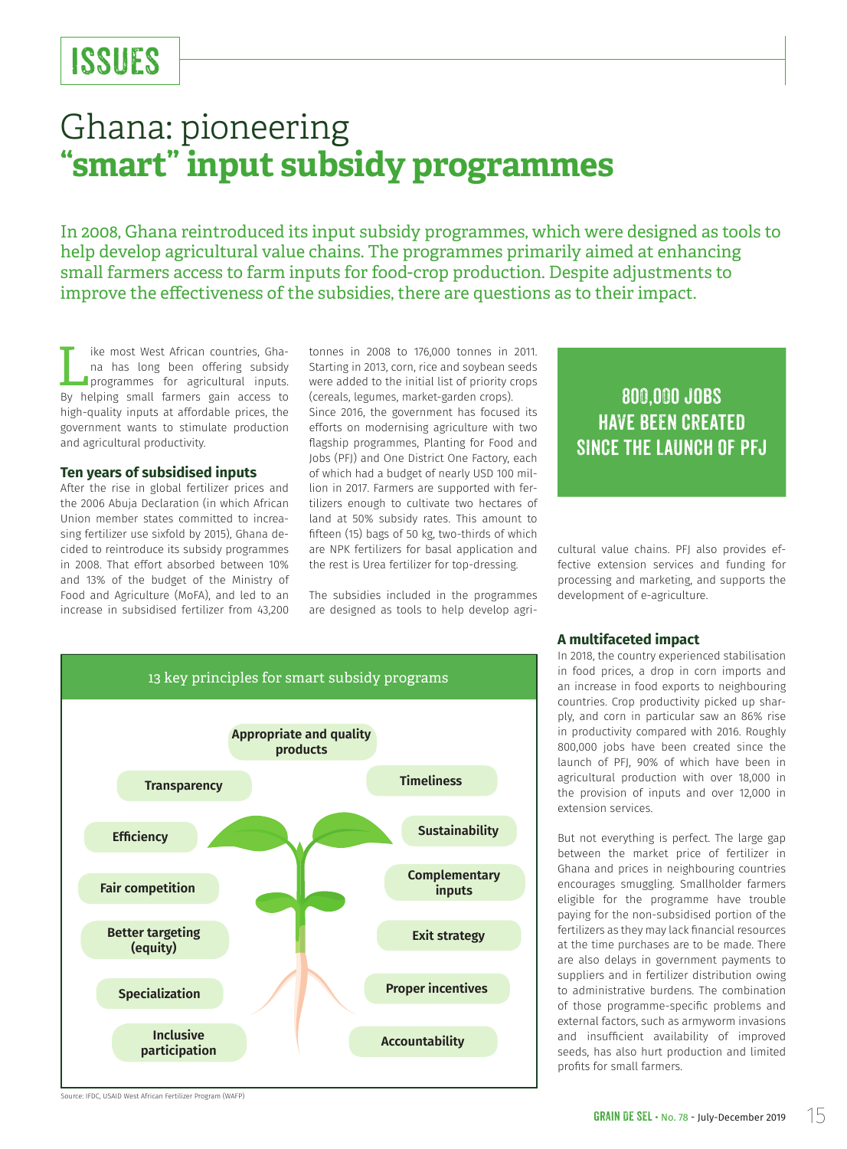# ISSUES

# Ghana: pioneering **"smart" input subsidy programmes**

In 2008, Ghana reintroduced its input subsidy programmes, which were designed as tools to help develop agricultural value chains. The programmes primarily aimed at enhancing small farmers access to farm inputs for food-crop production. Despite adjustments to improve the effectiveness of the subsidies, there are questions as to their impact.

I ike most West African countries, Gha-<br>
na has long been offering subsidy<br>
programmes for agricultural inputs.<br>
By behing small farmors gain accoss to na has long been offering subsidy programmes for agricultural inputs. By helping small farmers gain access to high-quality inputs at affordable prices, the government wants to stimulate production and agricultural productivity.

### **Ten years of subsidised inputs**

After the rise in global fertilizer prices and the 2006 Abuja Declaration (in which African Union member states committed to increasing fertilizer use sixfold by 2015), Ghana decided to reintroduce its subsidy programmes in 2008. That effort absorbed between 10% and 13% of the budget of the Ministry of Food and Agriculture (MoFA), and led to an increase in subsidised fertilizer from 43,200

tonnes in 2008 to 176,000 tonnes in 2011. Starting in 2013, corn, rice and soybean seeds were added to the initial list of priority crops (cereals, legumes, market-garden crops).

Since 2016, the government has focused its efforts on modernising agriculture with two flagship programmes, Planting for Food and Jobs (PFJ) and One District One Factory, each of which had a budget of nearly USD 100 million in 2017. Farmers are supported with fertilizers enough to cultivate two hectares of land at 50% subsidy rates. This amount to fifteen (15) bags of 50 kg, two-thirds of which are NPK fertilizers for basal application and the rest is Urea fertilizer for top-dressing.

The subsidies included in the programmes are designed as tools to help develop agri-

# 800,000 jobs have been created SINCE THE LAUNCH OF PFJ

cultural value chains. PFJ also provides effective extension services and funding for processing and marketing, and supports the development of e-agriculture.



### **A multifaceted impact**

In 2018, the country experienced stabilisation in food prices, a drop in corn imports and an increase in food exports to neighbouring countries. Crop productivity picked up sharply, and corn in particular saw an 86% rise in productivity compared with 2016. Roughly 800,000 jobs have been created since the launch of PFJ, 90% of which have been in agricultural production with over 18,000 in the provision of inputs and over 12,000 in extension services.

But not everything is perfect. The large gap between the market price of fertilizer in Ghana and prices in neighbouring countries encourages smuggling. Smallholder farmers eligible for the programme have trouble paying for the non-subsidised portion of the fertilizers as they may lack financial resources at the time purchases are to be made. There are also delays in government payments to suppliers and in fertilizer distribution owing to administrative burdens. The combination of those programme-specific problems and external factors, such as armyworm invasions and insufficient availability of improved seeds, has also hurt production and limited profits for small farmers.

Source: IFDC, USAID West African Fertilizer Program (WAFP)